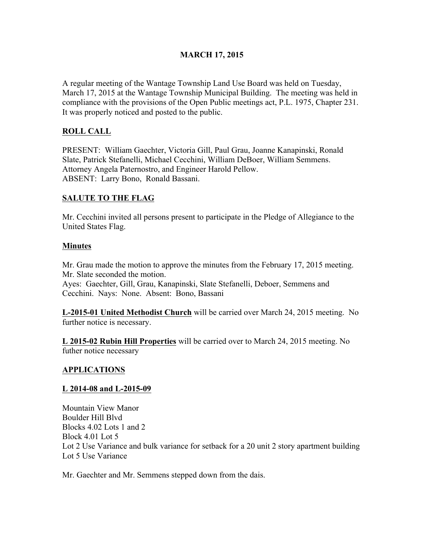### MARCH 17, 2015

A regular meeting of the Wantage Township Land Use Board was held on Tuesday, March 17, 2015 at the Wantage Township Municipal Building. The meeting was held in compliance with the provisions of the Open Public meetings act, P.L. 1975, Chapter 231. It was properly noticed and posted to the public.

## ROLL CALL

PRESENT: William Gaechter, Victoria Gill, Paul Grau, Joanne Kanapinski, Ronald Slate, Patrick Stefanelli, Michael Cecchini, William DeBoer, William Semmens. Attorney Angela Paternostro, and Engineer Harold Pellow. ABSENT: Larry Bono, Ronald Bassani.

#### SALUTE TO THE FLAG

Mr. Cecchini invited all persons present to participate in the Pledge of Allegiance to the United States Flag.

#### Minutes

Mr. Grau made the motion to approve the minutes from the February 17, 2015 meeting. Mr. Slate seconded the motion. Ayes: Gaechter, Gill, Grau, Kanapinski, Slate Stefanelli, Deboer, Semmens and Cecchini. Nays: None. Absent: Bono, Bassani

L-2015-01 United Methodist Church will be carried over March 24, 2015 meeting. No further notice is necessary.

L 2015-02 Rubin Hill Properties will be carried over to March 24, 2015 meeting. No futher notice necessary

#### APPLICATIONS

#### L 2014-08 and L-2015-09

Mountain View Manor Boulder Hill Blvd Blocks 4.02 Lots 1 and 2 Block 4.01 Lot 5 Lot 2 Use Variance and bulk variance for setback for a 20 unit 2 story apartment building Lot 5 Use Variance

Mr. Gaechter and Mr. Semmens stepped down from the dais.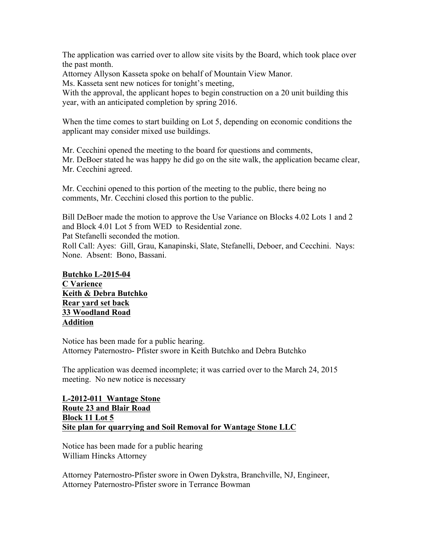The application was carried over to allow site visits by the Board, which took place over the past month.

Attorney Allyson Kasseta spoke on behalf of Mountain View Manor.

Ms. Kasseta sent new notices for tonight's meeting,

With the approval, the applicant hopes to begin construction on a 20 unit building this year, with an anticipated completion by spring 2016.

When the time comes to start building on Lot 5, depending on economic conditions the applicant may consider mixed use buildings.

Mr. Cecchini opened the meeting to the board for questions and comments, Mr. DeBoer stated he was happy he did go on the site walk, the application became clear, Mr. Cecchini agreed.

Mr. Cecchini opened to this portion of the meeting to the public, there being no comments, Mr. Cecchini closed this portion to the public.

Bill DeBoer made the motion to approve the Use Variance on Blocks 4.02 Lots 1 and 2 and Block 4.01 Lot 5 from WED to Residential zone.

Pat Stefanelli seconded the motion.

Roll Call: Ayes: Gill, Grau, Kanapinski, Slate, Stefanelli, Deboer, and Cecchini. Nays: None. Absent: Bono, Bassani.

#### Butchko L-2015-04 C Varience Keith & Debra Butchko Rear yard set back 33 Woodland Road Addition

Notice has been made for a public hearing. Attorney Paternostro- Pfister swore in Keith Butchko and Debra Butchko

The application was deemed incomplete; it was carried over to the March 24, 2015 meeting. No new notice is necessary

L-2012-011 Wantage Stone Route 23 and Blair Road Block 11 Lot 5 Site plan for quarrying and Soil Removal for Wantage Stone LLC

Notice has been made for a public hearing William Hincks Attorney

Attorney Paternostro-Pfister swore in Owen Dykstra, Branchville, NJ, Engineer, Attorney Paternostro-Pfister swore in Terrance Bowman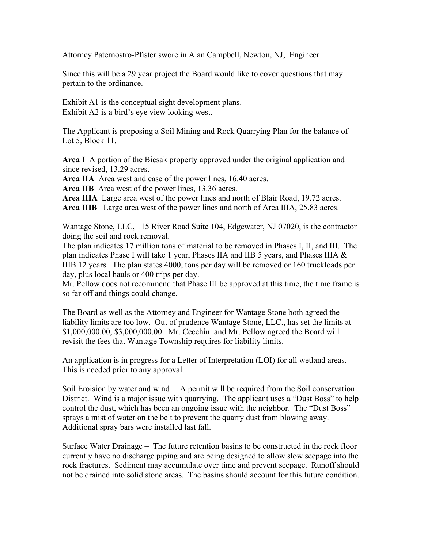Attorney Paternostro-Pfister swore in Alan Campbell, Newton, NJ, Engineer

Since this will be a 29 year project the Board would like to cover questions that may pertain to the ordinance.

Exhibit A1 is the conceptual sight development plans. Exhibit A2 is a bird's eye view looking west.

The Applicant is proposing a Soil Mining and Rock Quarrying Plan for the balance of Lot 5, Block 11.

Area I A portion of the Bicsak property approved under the original application and since revised, 13.29 acres.

Area IIA Area west and ease of the power lines, 16.40 acres.

Area IIB Area west of the power lines, 13.36 acres.

Area IIIA Large area west of the power lines and north of Blair Road, 19.72 acres.

Area IIIB Large area west of the power lines and north of Area IIIA, 25.83 acres.

Wantage Stone, LLC, 115 River Road Suite 104, Edgewater, NJ 07020, is the contractor doing the soil and rock removal.

The plan indicates 17 million tons of material to be removed in Phases I, II, and III. The plan indicates Phase I will take 1 year, Phases IIA and IIB 5 years, and Phases IIIA & IIIB 12 years. The plan states 4000, tons per day will be removed or 160 truckloads per day, plus local hauls or 400 trips per day.

Mr. Pellow does not recommend that Phase III be approved at this time, the time frame is so far off and things could change.

The Board as well as the Attorney and Engineer for Wantage Stone both agreed the liability limits are too low. Out of prudence Wantage Stone, LLC., has set the limits at \$1,000,000.00, \$3,000,000.00. Mr. Cecchini and Mr. Pellow agreed the Board will revisit the fees that Wantage Township requires for liability limits.

An application is in progress for a Letter of Interpretation (LOI) for all wetland areas. This is needed prior to any approval.

Soil Eroision by water and wind – A permit will be required from the Soil conservation District. Wind is a major issue with quarrying. The applicant uses a "Dust Boss" to help control the dust, which has been an ongoing issue with the neighbor. The "Dust Boss" sprays a mist of water on the belt to prevent the quarry dust from blowing away. Additional spray bars were installed last fall.

Surface Water Drainage – The future retention basins to be constructed in the rock floor currently have no discharge piping and are being designed to allow slow seepage into the rock fractures. Sediment may accumulate over time and prevent seepage. Runoff should not be drained into solid stone areas. The basins should account for this future condition.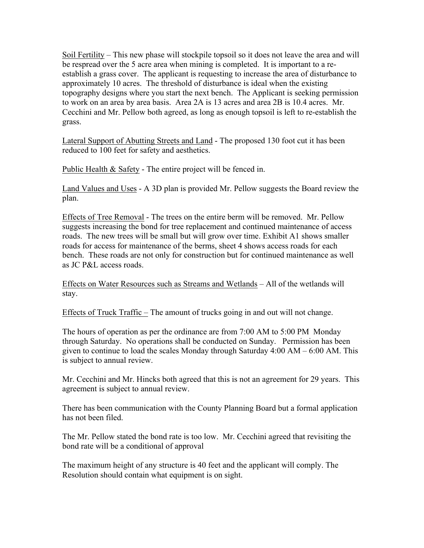Soil Fertility – This new phase will stockpile topsoil so it does not leave the area and will be respread over the 5 acre area when mining is completed. It is important to a reestablish a grass cover. The applicant is requesting to increase the area of disturbance to approximately 10 acres. The threshold of disturbance is ideal when the existing topography designs where you start the next bench. The Applicant is seeking permission to work on an area by area basis. Area 2A is 13 acres and area 2B is 10.4 acres. Mr. Cecchini and Mr. Pellow both agreed, as long as enough topsoil is left to re-establish the grass.

Lateral Support of Abutting Streets and Land - The proposed 130 foot cut it has been reduced to 100 feet for safety and aesthetics.

Public Health & Safety - The entire project will be fenced in.

Land Values and Uses - A 3D plan is provided Mr. Pellow suggests the Board review the plan.

Effects of Tree Removal - The trees on the entire berm will be removed. Mr. Pellow suggests increasing the bond for tree replacement and continued maintenance of access roads. The new trees will be small but will grow over time. Exhibit A1 shows smaller roads for access for maintenance of the berms, sheet 4 shows access roads for each bench. These roads are not only for construction but for continued maintenance as well as JC P&L access roads.

Effects on Water Resources such as Streams and Wetlands – All of the wetlands will stay.

Effects of Truck Traffic – The amount of trucks going in and out will not change.

The hours of operation as per the ordinance are from 7:00 AM to 5:00 PM Monday through Saturday. No operations shall be conducted on Sunday. Permission has been given to continue to load the scales Monday through Saturday 4:00 AM – 6:00 AM. This is subject to annual review.

Mr. Cecchini and Mr. Hincks both agreed that this is not an agreement for 29 years. This agreement is subject to annual review.

There has been communication with the County Planning Board but a formal application has not been filed.

The Mr. Pellow stated the bond rate is too low. Mr. Cecchini agreed that revisiting the bond rate will be a conditional of approval

The maximum height of any structure is 40 feet and the applicant will comply. The Resolution should contain what equipment is on sight.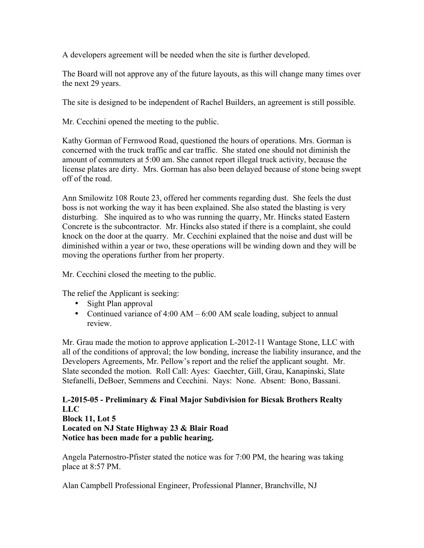A developers agreement will be needed when the site is further developed.

The Board will not approve any of the future layouts, as this will change many times over the next 29 years.

The site is designed to be independent of Rachel Builders, an agreement is still possible.

Mr. Cecchini opened the meeting to the public.

Kathy Gorman of Fernwood Road, questioned the hours of operations. Mrs. Gorman is concerned with the truck traffic and car traffic. She stated one should not diminish the amount of commuters at 5:00 am. She cannot report illegal truck activity, because the license plates are dirty. Mrs. Gorman has also been delayed because of stone being swept off of the road.

Ann Smilowitz 108 Route 23, offered her comments regarding dust. She feels the dust boss is not working the way it has been explained. She also stated the blasting is very disturbing. She inquired as to who was running the quarry, Mr. Hincks stated Eastern Concrete is the subcontractor. Mr. Hincks also stated if there is a complaint, she could knock on the door at the quarry. Mr. Cecchini explained that the noise and dust will be diminished within a year or two, these operations will be winding down and they will be moving the operations further from her property.

Mr. Cecchini closed the meeting to the public.

The relief the Applicant is seeking:

- Sight Plan approval
- Continued variance of 4:00 AM 6:00 AM scale loading, subject to annual review.

Mr. Grau made the motion to approve application L-2012-11 Wantage Stone, LLC with all of the conditions of approval; the low bonding, increase the liability insurance, and the Developers Agreements, Mr. Pellow's report and the relief the applicant sought. Mr. Slate seconded the motion. Roll Call: Ayes: Gaechter, Gill, Grau, Kanapinski, Slate Stefanelli, DeBoer, Semmens and Cecchini. Nays: None. Absent: Bono, Bassani.

L-2015-05 - Preliminary & Final Major Subdivision for Bicsak Brothers Realty LLC Block 11, Lot 5 Located on NJ State Highway 23 & Blair Road Notice has been made for a public hearing.

Angela Paternostro-Pfister stated the notice was for 7:00 PM, the hearing was taking place at 8:57 PM.

Alan Campbell Professional Engineer, Professional Planner, Branchville, NJ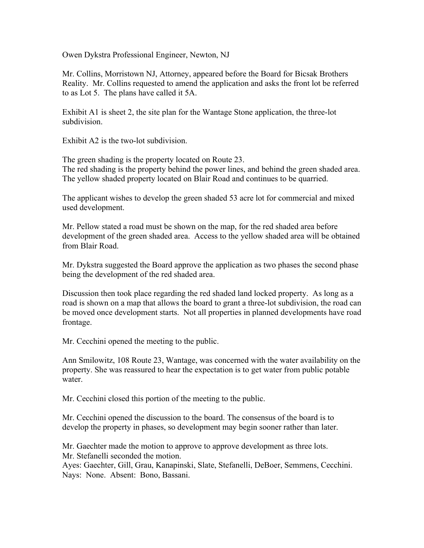Owen Dykstra Professional Engineer, Newton, NJ

Mr. Collins, Morristown NJ, Attorney, appeared before the Board for Bicsak Brothers Reality. Mr. Collins requested to amend the application and asks the front lot be referred to as Lot 5. The plans have called it 5A.

Exhibit A1 is sheet 2, the site plan for the Wantage Stone application, the three-lot subdivision.

Exhibit A2 is the two-lot subdivision.

The green shading is the property located on Route 23. The red shading is the property behind the power lines, and behind the green shaded area. The yellow shaded property located on Blair Road and continues to be quarried.

The applicant wishes to develop the green shaded 53 acre lot for commercial and mixed used development.

Mr. Pellow stated a road must be shown on the map, for the red shaded area before development of the green shaded area. Access to the yellow shaded area will be obtained from Blair Road.

Mr. Dykstra suggested the Board approve the application as two phases the second phase being the development of the red shaded area.

Discussion then took place regarding the red shaded land locked property. As long as a road is shown on a map that allows the board to grant a three-lot subdivision, the road can be moved once development starts. Not all properties in planned developments have road frontage.

Mr. Cecchini opened the meeting to the public.

Ann Smilowitz, 108 Route 23, Wantage, was concerned with the water availability on the property. She was reassured to hear the expectation is to get water from public potable water.

Mr. Cecchini closed this portion of the meeting to the public.

Mr. Cecchini opened the discussion to the board. The consensus of the board is to develop the property in phases, so development may begin sooner rather than later.

Mr. Gaechter made the motion to approve to approve development as three lots. Mr. Stefanelli seconded the motion.

Ayes: Gaechter, Gill, Grau, Kanapinski, Slate, Stefanelli, DeBoer, Semmens, Cecchini. Nays: None. Absent: Bono, Bassani.